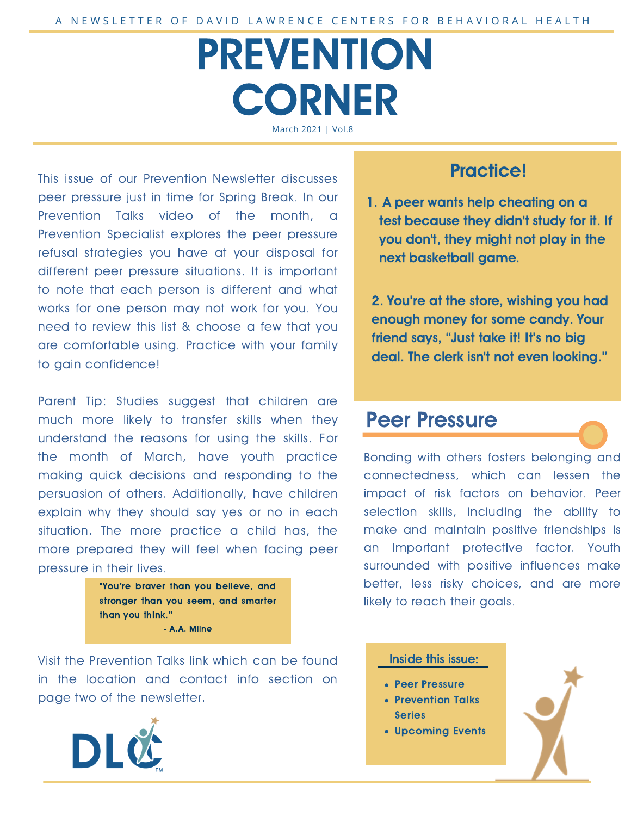# PREVENTION **CORNER** March 2021 | Vol.8

This issue of our Prevention Newsletter discusses peer pressure just in time for Spring Break. In our Prevention Talks video of the month, a Prevention Specialist explores the peer pressure refusal strategies you have at your disposal for different peer pressure situations. It is important to note that each person is different and what works for one person may not work for you. You need to review this list & choose a few that you are comfortable using. Practice with your family to gain confidence!

Parent Tip: Studies suggest that children are much more likely to transfer skills when they understand the reasons for using the skills. For the month of March, have youth practice making quick decisions and responding to the persuasion of others. Additionally, have children explain why they should say yes or no in each situation. The more practice a child has, the more prepared they will feel when facing peer pressure in their lives.



Visit the Prevention Talks link which can be found in the location and contact info section on page two of the newsletter.



### Practice!

1. A peer wants help cheating on a test because they didn't study for it. If you don't, they might not play in the next basketball game.

2. You're at the store, wishing you had enough money for some candy. Your friend says, "Just take it! It's no big deal. The clerk isn't not even looking."

### Peer Pressure

Bonding with others fosters belonging and connectedness, which can lessen the impact of risk factors on behavior. Peer selection skills, including the ability to make and maintain positive friendships is an important protective factor. Youth surrounded with positive influences make better, less risky choices, and are more likely to reach their goals.

#### Inside this issue:

- Peer Pressure
- Prevention Talks Series
- Upcoming Events